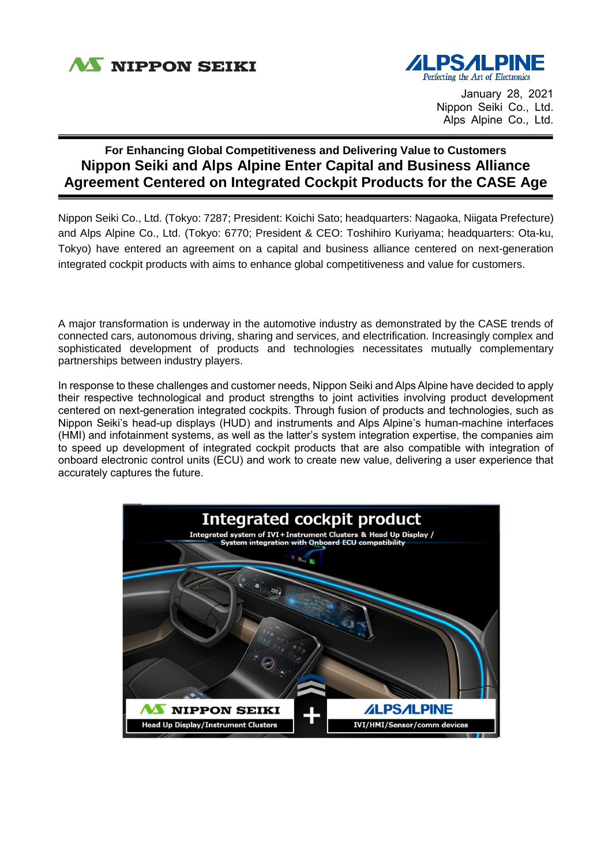

i



January 28, 2021 Nippon Seiki Co., Ltd. Alps Alpine Co., Ltd.

## **For Enhancing Global Competitiveness and Delivering Value to Customers Nippon Seiki and Alps Alpine Enter Capital and Business Alliance Agreement Centered on Integrated Cockpit Products for the CASE Age**

Nippon Seiki Co., Ltd. (Tokyo: 7287; President: Koichi Sato; headquarters: Nagaoka, Niigata Prefecture) and Alps Alpine Co., Ltd. (Tokyo: 6770; President & CEO: Toshihiro Kuriyama; headquarters: Ota-ku, Tokyo) have entered an agreement on a capital and business alliance centered on next-generation integrated cockpit products with aims to enhance global competitiveness and value for customers.

A major transformation is underway in the automotive industry as demonstrated by the CASE trends of connected cars, autonomous driving, sharing and services, and electrification. Increasingly complex and sophisticated development of products and technologies necessitates mutually complementary partnerships between industry players.

In response to these challenges and customer needs, Nippon Seiki and Alps Alpine have decided to apply their respective technological and product strengths to joint activities involving product development centered on next-generation integrated cockpits. Through fusion of products and technologies, such as Nippon Seiki's head-up displays (HUD) and instruments and Alps Alpine's human-machine interfaces (HMI) and infotainment systems, as well as the latter's system integration expertise, the companies aim to speed up development of integrated cockpit products that are also compatible with integration of onboard electronic control units (ECU) and work to create new value, delivering a user experience that accurately captures the future.